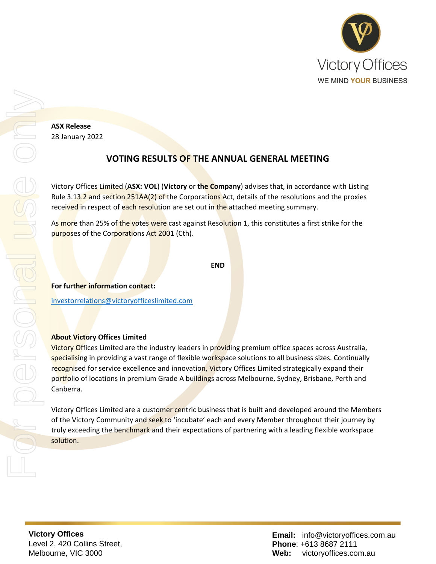

**ASX Release** 28 January 2022

## **VOTING RESULTS OF THE ANNUAL GENERAL MEETING**

Victory Offices Limited (**ASX: VOL**) (**Victory** or **the Company**) advises that, in accordance with Listing Rule 3.13.2 and section 251AA(2) of the Corporations Act, details of the resolutions and the proxies received in respect of each resolution are set out in the attached meeting summary.

As more than 25% of the votes were cast against Resolution 1, this constitutes a first strike for the purposes of the Corporations Act 2001 (Cth).

```
END
```
**For further information contact:**

[investorrelations@victoryofficeslimited.com](mailto:investorrelations@victoryofficeslimited.com)

## **About Victory Offices Limited**

Victory Offices Limited are the industry leaders in providing premium office spaces across Australia, specialising in providing a vast range of flexible workspace solutions to all business sizes. Continually recognised for service excellence and innovation, Victory Offices Limited strategically expand their portfolio of locations in premium Grade A buildings across Melbourne, Sydney, Brisbane, Perth and Canberra.

Victory Offices Limited are a customer centric business that is built and developed around the Members of the Victory Community and seek to 'incubate' each and every Member throughout their journey by truly exceeding the benchmark and their expectations of partnering with a leading flexible workspace solution.

**Victory Offices**  Level 2, 420 Collins Street, Melbourne, VIC 3000

**Email:** info@victoryoffices.com.au **Phone**: +613 8687 2111 **Web:** victoryoffices.com.au